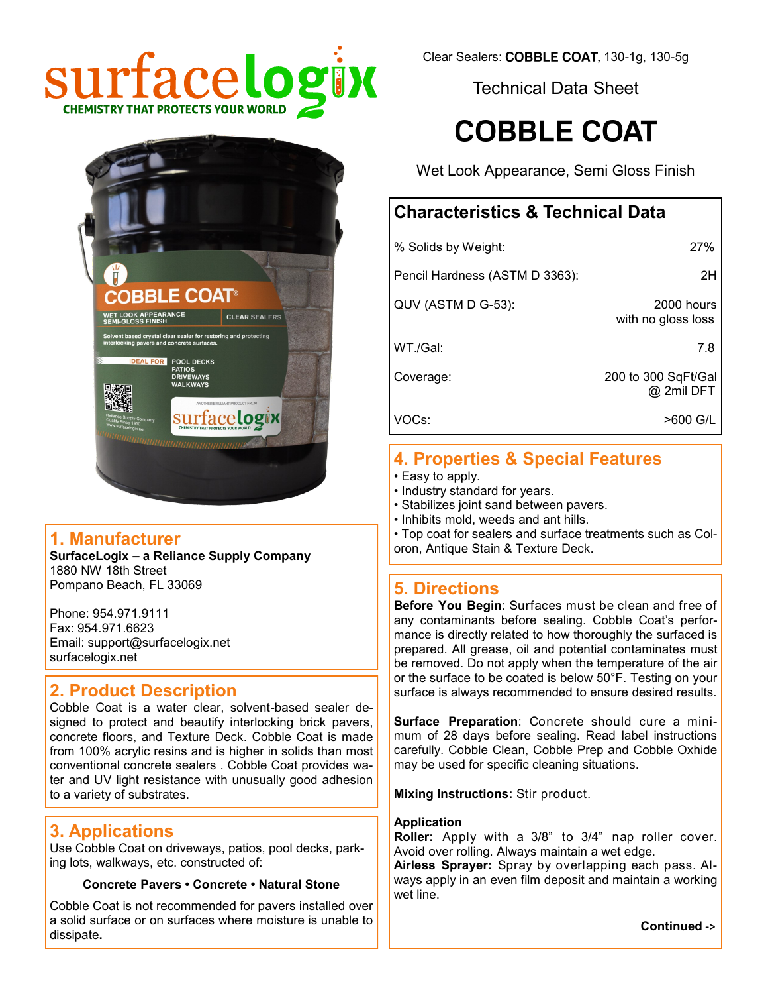



#### **1. Manufacturer**

**SurfaceLogix – a Reliance Supply Company** 1880 NW 18th Street Pompano Beach, FL 33069

Phone: 954.971.9111 Fax: 954.971.6623 Email: support@surfacelogix.net surfacelogix.net

#### **2. Product Description**

Cobble Coat is a water clear, solvent-based sealer designed to protect and beautify interlocking brick pavers, concrete floors, and Texture Deck. Cobble Coat is made from 100% acrylic resins and is higher in solids than most conventional concrete sealers . Cobble Coat provides water and UV light resistance with unusually good adhesion to a variety of substrates.

#### **3. Applications**

Use Cobble Coat on driveways, patios, pool decks, parking lots, walkways, etc. constructed of:

#### **Concrete Pavers • Concrete • Natural Stone**

Cobble Coat is not recommended for pavers installed over a solid surface or on surfaces where moisture is unable to dissipate**.**

Clear Sealers: COBBLE COAT, 130-1g, 130-5g

Technical Data Sheet

# **COBBLE COAT**

Wet Look Appearance, Semi Gloss Finish

### **Characteristics & Technical Data**

| % Solids by Weight:            | 27%                               |  |
|--------------------------------|-----------------------------------|--|
| Pencil Hardness (ASTM D 3363): | 2H                                |  |
| QUV (ASTM D G-53):             | 2000 hours<br>with no gloss loss  |  |
| WT./Gal:                       | 7.8                               |  |
| Coverage:                      | 200 to 300 SqFt/Gal<br>@ 2mil DFT |  |
| VOCs:                          | >600 G/L                          |  |

# **4. Properties & Special Features**

- Easy to apply.
- Industry standard for years.
- Stabilizes joint sand between pavers.
- Inhibits mold, weeds and ant hills.
- Top coat for sealers and surface treatments such as Coloron, Antique Stain & Texture Deck.

### **5. Directions**

**Before You Begin**: Surfaces must be clean and free of any contaminants before sealing. Cobble Coat's performance is directly related to how thoroughly the surfaced is prepared. All grease, oil and potential contaminates must be removed. Do not apply when the temperature of the air or the surface to be coated is below 50°F. Testing on your surface is always recommended to ensure desired results.

**Surface Preparation**: Concrete should cure a minimum of 28 days before sealing. Read label instructions carefully. Cobble Clean, Cobble Prep and Cobble Oxhide may be used for specific cleaning situations.

**Mixing Instructions:** Stir product.

#### **Application**

**Roller:** Apply with a 3/8" to 3/4" nap roller cover. Avoid over rolling. Always maintain a wet edge.

**Airless Sprayer:** Spray by overlapping each pass. Always apply in an even film deposit and maintain a working wet line.

**Continued ->**